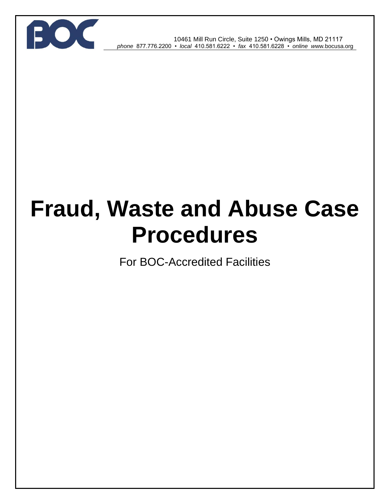

 10461 Mill Run Circle, Suite 1250 • Owings Mills, MD 21117 *phone* 877.776.2200 • *local* 410.581.6222 • *fax* 410.581.6228 • *online w*ww*.*bocusa.org

# **Fraud, Waste and Abuse Case Procedures**

For BOC-Accredited Facilities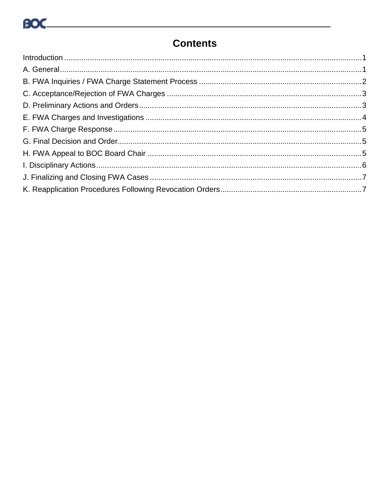### **Contents**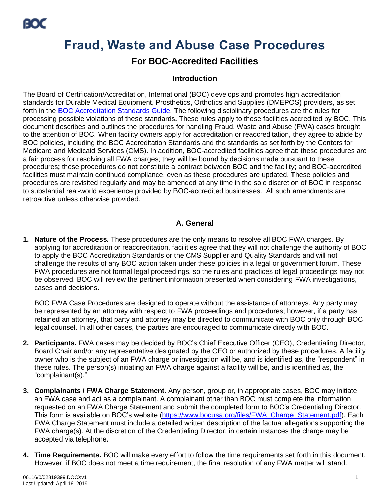## **Fraud, Waste and Abuse Case Procedures**

#### **For BOC-Accredited Facilities**

#### **Introduction**

<span id="page-2-0"></span>The Board of Certification/Accreditation, International (BOC) develops and promotes high accreditation standards for Durable Medical Equipment, Prosthetics, Orthotics and Supplies (DMEPOS) providers, as set forth in the [BOC Accreditation Standards](https://www.bocusa.org/files/Facility_Accreditation_Standards.pdf) Guide. The following disciplinary procedures are the rules for processing possible violations of these standards. These rules apply to those facilities accredited by BOC. This document describes and outlines the procedures for handling Fraud, Waste and Abuse (FWA) cases brought to the attention of BOC. When facility owners apply for accreditation or reaccreditation, they agree to abide by BOC policies, including the BOC Accreditation Standards and the standards as set forth by the Centers for Medicare and Medicaid Services (CMS). In addition, BOC-accredited facilities agree that: these procedures are a fair process for resolving all FWA charges; they will be bound by decisions made pursuant to these procedures; these procedures do not constitute a contract between BOC and the facility; and BOC-accredited facilities must maintain continued compliance, even as these procedures are updated. These policies and procedures are revisited regularly and may be amended at any time in the sole discretion of BOC in response to substantial real-world experience provided by BOC-accredited businesses. All such amendments are retroactive unless otherwise provided.

#### **A. General**

<span id="page-2-1"></span>**1. Nature of the Process.** These procedures are the only means to resolve all BOC FWA charges. By applying for accreditation or reaccreditation, facilities agree that they will not challenge the authority of BOC to apply the BOC Accreditation Standards or the CMS Supplier and Quality Standards and will not challenge the results of any BOC action taken under these policies in a legal or government forum. These FWA procedures are not formal legal proceedings, so the rules and practices of legal proceedings may not be observed. BOC will review the pertinent information presented when considering FWA investigations, cases and decisions.

BOC FWA Case Procedures are designed to operate without the assistance of attorneys. Any party may be represented by an attorney with respect to FWA proceedings and procedures; however, if a party has retained an attorney, that party and attorney may be directed to communicate with BOC only through BOC legal counsel. In all other cases, the parties are encouraged to communicate directly with BOC.

- **2. Participants.** FWA cases may be decided by BOC's Chief Executive Officer (CEO), Credentialing Director, Board Chair and/or any representative designated by the CEO or authorized by these procedures. A facility owner who is the subject of an FWA charge or investigation will be, and is identified as, the "respondent" in these rules. The person(s) initiating an FWA charge against a facility will be, and is identified as, the "complainant(s)."
- **3. Complainants / FWA Charge Statement.** Any person, group or, in appropriate cases, BOC may initiate an FWA case and act as a complainant. A complainant other than BOC must complete the information requested on an FWA Charge Statement and submit the completed form to BOC's Credentialing Director. This form is available on BOC's website [\(https://www.bocusa.org/files/FWA\\_Charge\\_Statement.pdf\)](https://www.bocusa.org/files/FWA_Charge_Statement.pdf). Each FWA Charge Statement must include a detailed written description of the factual allegations supporting the FWA charge(s). At the discretion of the Credentialing Director, in certain instances the charge may be accepted via telephone.
- **4. Time Requirements.** BOC will make every effort to follow the time requirements set forth in this document. However, if BOC does not meet a time requirement, the final resolution of any FWA matter will stand.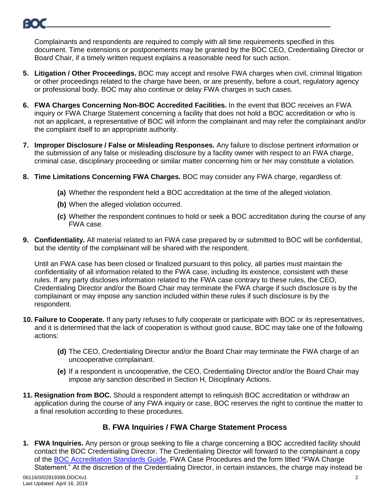

Complainants and respondents are required to comply with all time requirements specified in this document. Time extensions or postponements may be granted by the BOC CEO, Credentialing Director or Board Chair, if a timely written request explains a reasonable need for such action.

- **5. Litigation / Other Proceedings.** BOC may accept and resolve FWA charges when civil, criminal litigation or other proceedings related to the charge have been, or are presently, before a court, regulatory agency or professional body. BOC may also continue or delay FWA charges in such cases.
- **6. FWA Charges Concerning Non-BOC Accredited Facilities.** In the event that BOC receives an FWA inquiry or FWA Charge Statement concerning a facility that does not hold a BOC accreditation or who is not an applicant, a representative of BOC will inform the complainant and may refer the complainant and/or the complaint itself to an appropriate authority.
- **7. Improper Disclosure / False or Misleading Responses.** Any failure to disclose pertinent information or the submission of any false or misleading disclosure by a facility owner with respect to an FWA charge, criminal case, disciplinary proceeding or similar matter concerning him or her may constitute a violation.
- **8. Time Limitations Concerning FWA Charges.** BOC may consider any FWA charge, regardless of:
	- **(a)** Whether the respondent held a BOC accreditation at the time of the alleged violation.
	- **(b)** When the alleged violation occurred.
	- **(c)** Whether the respondent continues to hold or seek a BOC accreditation during the course of any FWA case.
- **9. Confidentiality.** All material related to an FWA case prepared by or submitted to BOC will be confidential, but the identity of the complainant will be shared with the respondent.

Until an FWA case has been closed or finalized pursuant to this policy, all parties must maintain the confidentiality of all information related to the FWA case, including its existence, consistent with these rules. If any party discloses information related to the FWA case contrary to these rules, the CEO, Credentialing Director and/or the Board Chair may terminate the FWA charge if such disclosure is by the complainant or may impose any sanction included within these rules if such disclosure is by the respondent.

- **10. Failure to Cooperate.** If any party refuses to fully cooperate or participate with BOC or its representatives, and it is determined that the lack of cooperation is without good cause, BOC may take one of the following actions:
	- **(d)** The CEO, Credentialing Director and/or the Board Chair may terminate the FWA charge of an uncooperative complainant.
	- **(e)** If a respondent is uncooperative, the CEO, Credentialing Director and/or the Board Chair may impose any sanction described in Section H, Disciplinary Actions.
- **11. Resignation from BOC.** Should a respondent attempt to relinquish BOC accreditation or withdraw an application during the course of any FWA inquiry or case, BOC reserves the right to continue the matter to a final resolution according to these procedures.

#### **B. FWA Inquiries / FWA Charge Statement Process**

<span id="page-3-0"></span>**1. FWA Inquiries.** Any person or group seeking to file a charge concerning a BOC accredited facility should contact the BOC Credentialing Director. The Credentialing Director will forward to the complainant a copy of the [BOC Accreditation Standards](https://www.bocusa.org/files/Facility_Accreditation_Standards.pdf) Guide, FWA Case Procedures and the form titled "FWA Charge Statement." At the discretion of the Credentialing Director, in certain instances, the charge may instead be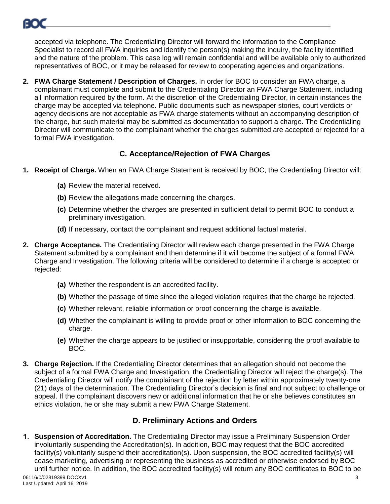

accepted via telephone. The Credentialing Director will forward the information to the Compliance Specialist to record all FWA inquiries and identify the person(s) making the inquiry, the facility identified and the nature of the problem. This case log will remain confidential and will be available only to authorized representatives of BOC, or it may be released for review to cooperating agencies and organizations.

**2. FWA Charge Statement / Description of Charges.** In order for BOC to consider an FWA charge, a complainant must complete and submit to the Credentialing Director an FWA Charge Statement, including all information required by the form. At the discretion of the Credentialing Director, in certain instances the charge may be accepted via telephone. Public documents such as newspaper stories, court verdicts or agency decisions are not acceptable as FWA charge statements without an accompanying description of the charge, but such material may be submitted as documentation to support a charge. The Credentialing Director will communicate to the complainant whether the charges submitted are accepted or rejected for a formal FWA investigation.

#### **C. Acceptance/Rejection of FWA Charges**

- <span id="page-4-0"></span>**1. Receipt of Charge.** When an FWA Charge Statement is received by BOC, the Credentialing Director will:
	- **(a)** Review the material received.
	- **(b)** Review the allegations made concerning the charges.
	- **(c)** Determine whether the charges are presented in sufficient detail to permit BOC to conduct a preliminary investigation.
	- **(d)** If necessary, contact the complainant and request additional factual material.
- **2. Charge Acceptance.** The Credentialing Director will review each charge presented in the FWA Charge Statement submitted by a complainant and then determine if it will become the subject of a formal FWA Charge and Investigation. The following criteria will be considered to determine if a charge is accepted or rejected:
	- **(a)** Whether the respondent is an accredited facility.
	- **(b)** Whether the passage of time since the alleged violation requires that the charge be rejected.
	- **(c)** Whether relevant, reliable information or proof concerning the charge is available.
	- **(d)** Whether the complainant is willing to provide proof or other information to BOC concerning the charge.
	- **(e)** Whether the charge appears to be justified or insupportable, considering the proof available to BOC.
- **3. Charge Rejection.** If the Credentialing Director determines that an allegation should not become the subject of a formal FWA Charge and Investigation, the Credentialing Director will reject the charge(s). The Credentialing Director will notify the complainant of the rejection by letter within approximately twenty-one (21) days of the determination. The Credentialing Director's decision is final and not subject to challenge or appeal. If the complainant discovers new or additional information that he or she believes constitutes an ethics violation, he or she may submit a new FWA Charge Statement.

#### **D. Preliminary Actions and Orders**

<span id="page-4-1"></span>**Suspension of Accreditation.** The Credentialing Director may issue a Preliminary Suspension Order involuntarily suspending the Accreditation(s). In addition, BOC may request that the BOC accredited facility(s) voluntarily suspend their accreditation(s). Upon suspension, the BOC accredited facility(s) will cease marketing, advertising or representing the business as accredited or otherwise endorsed by BOC until further notice. In addition, the BOC accredited facility(s) will return any BOC certificates to BOC to be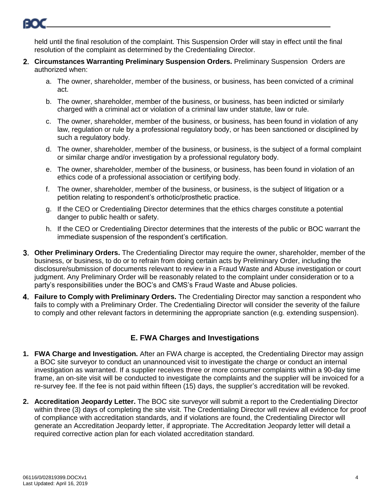

held until the final resolution of the complaint. This Suspension Order will stay in effect until the final resolution of the complaint as determined by the Credentialing Director.

- **Circumstances Warranting Preliminary Suspension Orders.** Preliminary Suspension Orders are authorized when:
	- a. The owner, shareholder, member of the business, or business, has been convicted of a criminal act.
	- b. The owner, shareholder, member of the business, or business, has been indicted or similarly charged with a criminal act or violation of a criminal law under statute, law or rule.
	- c. The owner, shareholder, member of the business, or business, has been found in violation of any law, regulation or rule by a professional regulatory body, or has been sanctioned or disciplined by such a regulatory body.
	- d. The owner, shareholder, member of the business, or business, is the subject of a formal complaint or similar charge and/or investigation by a professional regulatory body.
	- e. The owner, shareholder, member of the business, or business, has been found in violation of an ethics code of a professional association or certifying body.
	- f. The owner, shareholder, member of the business, or business, is the subject of litigation or a petition relating to respondent's orthotic/prosthetic practice.
	- g. If the CEO or Credentialing Director determines that the ethics charges constitute a potential danger to public health or safety.
	- h. If the CEO or Credentialing Director determines that the interests of the public or BOC warrant the immediate suspension of the respondent's certification.
- **Other Preliminary Orders.** The Credentialing Director may require the owner, shareholder, member of the business, or business, to do or to refrain from doing certain acts by Preliminary Order, including the disclosure/submission of documents relevant to review in a Fraud Waste and Abuse investigation or court judgment. Any Preliminary Order will be reasonably related to the complaint under consideration or to a party's responsibilities under the BOC's and CMS's Fraud Waste and Abuse policies.
- **Failure to Comply with Preliminary Orders.** The Credentialing Director may sanction a respondent who fails to comply with a Preliminary Order. The Credentialing Director will consider the severity of the failure to comply and other relevant factors in determining the appropriate sanction (e.g. extending suspension).

#### **E. FWA Charges and Investigations**

- **1. FWA Charge and Investigation.** After an FWA charge is accepted, the Credentialing Director may assign a BOC site surveyor to conduct an unannounced visit to investigate the charge or conduct an internal investigation as warranted. If a supplier receives three or more consumer complaints within a 90-day time frame, an on-site visit will be conducted to investigate the complaints and the supplier will be invoiced for a re-survey fee. If the fee is not paid within fifteen (15) days, the supplier's accreditation will be revoked.
- **2. Accreditation Jeopardy Letter.** The BOC site surveyor will submit a report to the Credentialing Director within three (3) days of completing the site visit. The Credentialing Director will review all evidence for proof of compliance with accreditation standards, and if violations are found, the Credentialing Director will generate an Accreditation Jeopardy letter, if appropriate. The Accreditation Jeopardy letter will detail a required corrective action plan for each violated accreditation standard.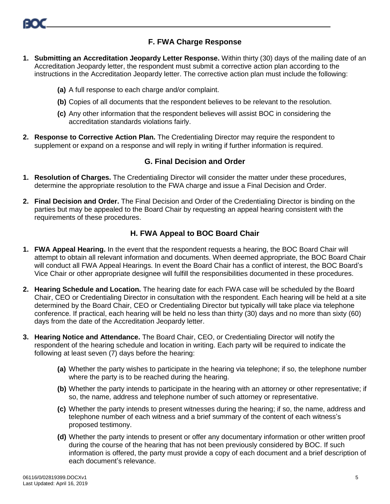

#### **F. FWA Charge Response**

- <span id="page-6-0"></span>**1. Submitting an Accreditation Jeopardy Letter Response.** Within thirty (30) days of the mailing date of an Accreditation Jeopardy letter, the respondent must submit a corrective action plan according to the instructions in the Accreditation Jeopardy letter. The corrective action plan must include the following:
	- **(a)** A full response to each charge and/or complaint.
	- **(b)** Copies of all documents that the respondent believes to be relevant to the resolution.
	- **(c)** Any other information that the respondent believes will assist BOC in considering the accreditation standards violations fairly.
- **2. Response to Corrective Action Plan.** The Credentialing Director may require the respondent to supplement or expand on a response and will reply in writing if further information is required.

#### **G. Final Decision and Order**

- <span id="page-6-1"></span>**1. Resolution of Charges.** The Credentialing Director will consider the matter under these procedures, determine the appropriate resolution to the FWA charge and issue a Final Decision and Order.
- **2. Final Decision and Order.** The Final Decision and Order of the Credentialing Director is binding on the parties but may be appealed to the Board Chair by requesting an appeal hearing consistent with the requirements of these procedures.

#### **H. FWA Appeal to BOC Board Chair**

- <span id="page-6-2"></span>**1. FWA Appeal Hearing.** In the event that the respondent requests a hearing, the BOC Board Chair will attempt to obtain all relevant information and documents. When deemed appropriate, the BOC Board Chair will conduct all FWA Appeal Hearings. In event the Board Chair has a conflict of interest, the BOC Board's Vice Chair or other appropriate designee will fulfill the responsibilities documented in these procedures.
- **2. Hearing Schedule and Location.** The hearing date for each FWA case will be scheduled by the Board Chair, CEO or Credentialing Director in consultation with the respondent. Each hearing will be held at a site determined by the Board Chair, CEO or Credentialing Director but typically will take place via telephone conference. If practical, each hearing will be held no less than thirty (30) days and no more than sixty (60) days from the date of the Accreditation Jeopardy letter.
- **3. Hearing Notice and Attendance.** The Board Chair, CEO, or Credentialing Director will notify the respondent of the hearing schedule and location in writing. Each party will be required to indicate the following at least seven (7) days before the hearing:
	- **(a)** Whether the party wishes to participate in the hearing via telephone; if so, the telephone number where the party is to be reached during the hearing.
	- **(b)** Whether the party intends to participate in the hearing with an attorney or other representative; if so, the name, address and telephone number of such attorney or representative.
	- **(c)** Whether the party intends to present witnesses during the hearing; if so, the name, address and telephone number of each witness and a brief summary of the content of each witness's proposed testimony.
	- **(d)** Whether the party intends to present or offer any documentary information or other written proof during the course of the hearing that has not been previously considered by BOC. If such information is offered, the party must provide a copy of each document and a brief description of each document's relevance.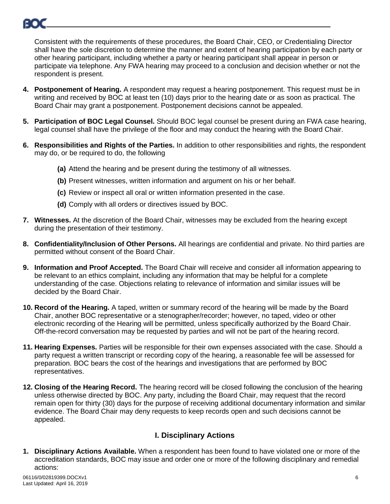

Consistent with the requirements of these procedures, the Board Chair, CEO, or Credentialing Director shall have the sole discretion to determine the manner and extent of hearing participation by each party or other hearing participant, including whether a party or hearing participant shall appear in person or participate via telephone. Any FWA hearing may proceed to a conclusion and decision whether or not the respondent is present.

- **4. Postponement of Hearing.** A respondent may request a hearing postponement. This request must be in writing and received by BOC at least ten (10) days prior to the hearing date or as soon as practical. The Board Chair may grant a postponement. Postponement decisions cannot be appealed.
- **5. Participation of BOC Legal Counsel.** Should BOC legal counsel be present during an FWA case hearing, legal counsel shall have the privilege of the floor and may conduct the hearing with the Board Chair.
- **6. Responsibilities and Rights of the Parties.** In addition to other responsibilities and rights, the respondent may do, or be required to do, the following
	- **(a)** Attend the hearing and be present during the testimony of all witnesses.
	- **(b)** Present witnesses, written information and argument on his or her behalf.
	- **(c)** Review or inspect all oral or written information presented in the case.
	- **(d)** Comply with all orders or directives issued by BOC.
- **7. Witnesses.** At the discretion of the Board Chair, witnesses may be excluded from the hearing except during the presentation of their testimony.
- **8. Confidentiality/Inclusion of Other Persons.** All hearings are confidential and private. No third parties are permitted without consent of the Board Chair.
- **9. Information and Proof Accepted.** The Board Chair will receive and consider all information appearing to be relevant to an ethics complaint, including any information that may be helpful for a complete understanding of the case. Objections relating to relevance of information and similar issues will be decided by the Board Chair.
- **10. Record of the Hearing.** A taped, written or summary record of the hearing will be made by the Board Chair, another BOC representative or a stenographer/recorder; however, no taped, video or other electronic recording of the Hearing will be permitted, unless specifically authorized by the Board Chair. Off-the-record conversation may be requested by parties and will not be part of the hearing record.
- **11. Hearing Expenses.** Parties will be responsible for their own expenses associated with the case. Should a party request a written transcript or recording copy of the hearing, a reasonable fee will be assessed for preparation. BOC bears the cost of the hearings and investigations that are performed by BOC representatives.
- **12. Closing of the Hearing Record.** The hearing record will be closed following the conclusion of the hearing unless otherwise directed by BOC. Any party, including the Board Chair, may request that the record remain open for thirty (30) days for the purpose of receiving additional documentary information and similar evidence. The Board Chair may deny requests to keep records open and such decisions cannot be appealed.

#### **I. Disciplinary Actions**

<span id="page-7-0"></span>**1. Disciplinary Actions Available.** When a respondent has been found to have violated one or more of the accreditation standards, BOC may issue and order one or more of the following disciplinary and remedial actions: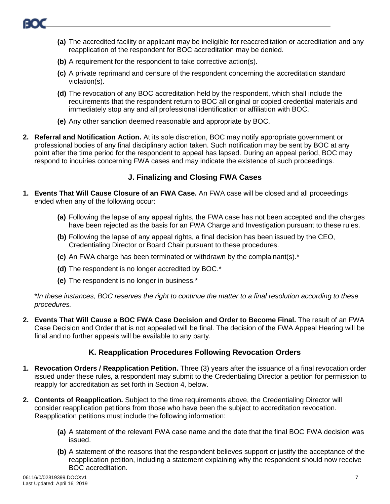- **(a)** The accredited facility or applicant may be ineligible for reaccreditation or accreditation and any reapplication of the respondent for BOC accreditation may be denied.
- **(b)** A requirement for the respondent to take corrective action(s).
- **(c)** A private reprimand and censure of the respondent concerning the accreditation standard violation(s).
- **(d)** The revocation of any BOC accreditation held by the respondent, which shall include the requirements that the respondent return to BOC all original or copied credential materials and immediately stop any and all professional identification or affiliation with BOC.
- **(e)** Any other sanction deemed reasonable and appropriate by BOC.
- **2. Referral and Notification Action.** At its sole discretion, BOC may notify appropriate government or professional bodies of any final disciplinary action taken. Such notification may be sent by BOC at any point after the time period for the respondent to appeal has lapsed. During an appeal period, BOC may respond to inquiries concerning FWA cases and may indicate the existence of such proceedings.

#### **J. Finalizing and Closing FWA Cases**

- <span id="page-8-0"></span>**1. Events That Will Cause Closure of an FWA Case.** An FWA case will be closed and all proceedings ended when any of the following occur:
	- **(a)** Following the lapse of any appeal rights, the FWA case has not been accepted and the charges have been rejected as the basis for an FWA Charge and Investigation pursuant to these rules.
	- **(b)** Following the lapse of any appeal rights, a final decision has been issued by the CEO, Credentialing Director or Board Chair pursuant to these procedures.
	- **(c)** An FWA charge has been terminated or withdrawn by the complainant(s).\*
	- **(d)** The respondent is no longer accredited by BOC.\*
	- **(e)** The respondent is no longer in business.\*

\**In these instances, BOC reserves the right to continue the matter to a final resolution according to these procedures.*

**2. Events That Will Cause a BOC FWA Case Decision and Order to Become Final.** The result of an FWA Case Decision and Order that is not appealed will be final. The decision of the FWA Appeal Hearing will be final and no further appeals will be available to any party.

#### **K. Reapplication Procedures Following Revocation Orders**

- <span id="page-8-1"></span>**1. Revocation Orders / Reapplication Petition.** Three (3) years after the issuance of a final revocation order issued under these rules, a respondent may submit to the Credentialing Director a petition for permission to reapply for accreditation as set forth in Section 4, below.
- **2. Contents of Reapplication.** Subject to the time requirements above, the Credentialing Director will consider reapplication petitions from those who have been the subject to accreditation revocation. Reapplication petitions must include the following information:
	- **(a)** A statement of the relevant FWA case name and the date that the final BOC FWA decision was issued.
	- **(b)** A statement of the reasons that the respondent believes support or justify the acceptance of the reapplication petition, including a statement explaining why the respondent should now receive BOC accreditation.